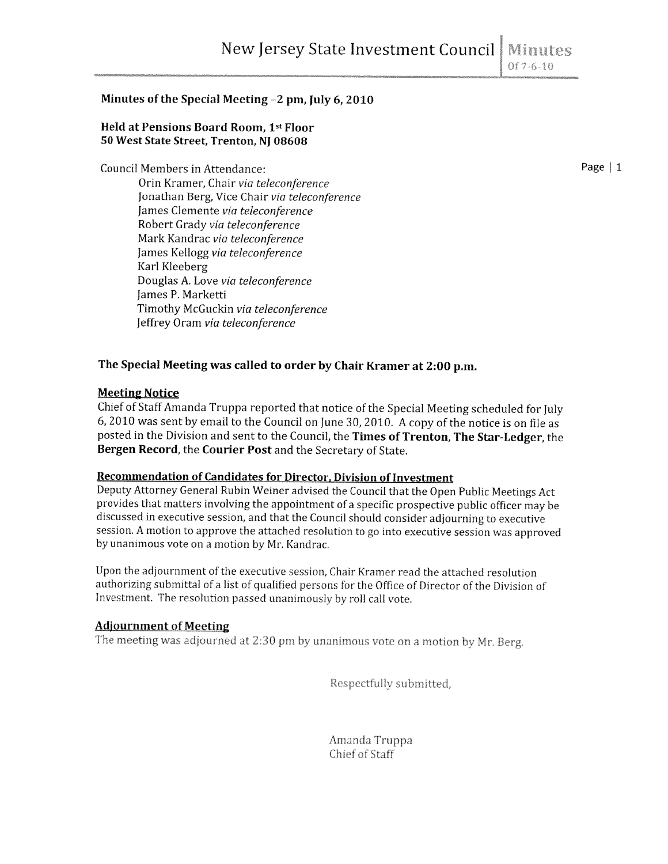# Minutes of the Special Meeting —2 pm, July 6, 2010

### Held at Pensions Board Room, 1st Floor 50 West State Street, Trenton, NJ 08608

Council Members in Attendance:  $\blacksquare$ 

Orin Kramer, Chair via teleconference Jonathan Berg, Vice Chair via teleconference James Clemente via teleconference Robert Grady via teleconference Mark Kandrac via teleconference James Kellogg via teleconference Karl Kleeberg Douglas A. Love via teleconference James P. Marketti Timothy McGuckin via teleconference Jeffrey Oram via teleconference

## The Special Meeting was called to order by Chair Kramer at 2:00 p.m.

#### Meeting Notice

Chief of Staff Amanda Truppa reported that notice of the Special Meeting scheduled for July 6, <sup>2010</sup> was sent by email to the Council on June 30, 2010. <sup>A</sup> copy of the notice is on file as posted in the Division and sent to the Council, the Times of Trenton, The Star-Ledger, the Bergen Record, the Courier Post and the Secretary of State.

#### Recommendation of Candidates for Director. Division of Investment

Deputy Attorney General Rubin Weiner advised the Council that the Open Public Meetings Act provides that matters involving the appointment of <sup>a</sup> specific prospective public officer may be discussed in executive session, and that the Council should consider adjourning to executive session. <sup>A</sup> motion to approve the attached resolution to go into executive session was approved by unanimous vote on <sup>a</sup> motion by Mr. Kandrac,

Upon the adjournment of the executive session, Chair Kramer read the attached resolution authorizing submittal of <sup>a</sup> list of qualified persons for the Office of Director of the Division of Investment. The resolution passed unanimously by roll call vote.

#### Adjournment of Meeting

The meeting was adjourned at 2:30 pm by unanimous vote on a motion by Mr. Berg.

Respectfully submitted,

Amanda Truppa Chief of Staff